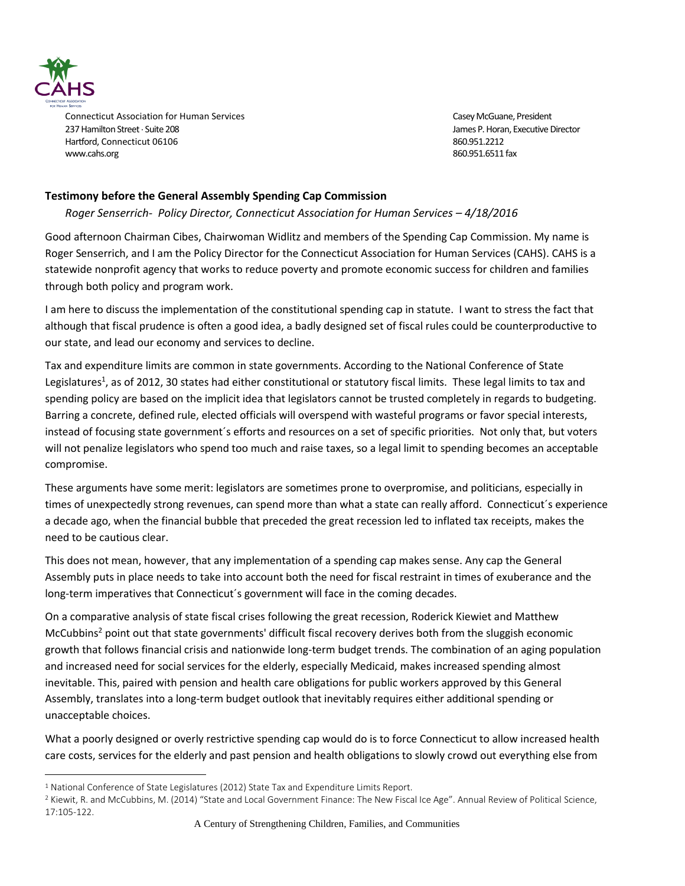

 $\overline{a}$ 

Connecticut Association for Human Services Casey McGuane, President Casey McGuane, President 237 Hamilton Street Suite 208 James P. Horan, Executive Director Hartford, Connecticut 06106 860.951.2212 [www.cahs.org](http://www.cahs.org/) 860.951.6511 fax

## **Testimony before the General Assembly Spending Cap Commission**

## *Roger Senserrich- Policy Director, Connecticut Association for Human Services - 4/18/2016*

Good afternoon Chairman Cibes, Chairwoman Widlitz and members of the Spending Cap Commission. My name is Roger Senserrich, and I am the Policy Director for the Connecticut Association for Human Services (CAHS). CAHS is a statewide nonprofit agency that works to reduce poverty and promote economic success for children and families through both policy and program work.

I am here to discuss the implementation of the constitutional spending cap in statute. I want to stress the fact that although that fiscal prudence is often a good idea, a badly designed set of fiscal rules could be counterproductive to our state, and lead our economy and services to decline.

Tax and expenditure limits are common in state governments. According to the National Conference of State Legislatures<sup>1</sup>, as of 2012, 30 states had either constitutional or statutory fiscal limits. These legal limits to tax and spending policy are based on the implicit idea that legislators cannot be trusted completely in regards to budgeting. Barring a concrete, defined rule, elected officials will overspend with wasteful programs or favor special interests, instead of focusing state government´s efforts and resources on a set of specific priorities. Not only that, but voters will not penalize legislators who spend too much and raise taxes, so a legal limit to spending becomes an acceptable compromise.

These arguments have some merit: legislators are sometimes prone to overpromise, and politicians, especially in times of unexpectedly strong revenues, can spend more than what a state can really afford. Connecticut´s experience a decade ago, when the financial bubble that preceded the great recession led to inflated tax receipts, makes the need to be cautious clear.

This does not mean, however, that any implementation of a spending cap makes sense. Any cap the General Assembly puts in place needs to take into account both the need for fiscal restraint in times of exuberance and the long-term imperatives that Connecticut´s government will face in the coming decades.

On a comparative analysis of state fiscal crises following the great recession, Roderick Kiewiet and Matthew McCubbins<sup>2</sup> point out that state governments' difficult fiscal recovery derives both from the sluggish economic growth that follows financial crisis and nationwide long-term budget trends. The combination of an aging population and increased need for social services for the elderly, especially Medicaid, makes increased spending almost inevitable. This, paired with pension and health care obligations for public workers approved by this General Assembly, translates into a long-term budget outlook that inevitably requires either additional spending or unacceptable choices.

What a poorly designed or overly restrictive spending cap would do is to force Connecticut to allow increased health care costs, services for the elderly and past pension and health obligations to slowly crowd out everything else from

<sup>&</sup>lt;sup>1</sup> National Conference of State Legislatures (2012) State Tax and Expenditure Limits Report.

<sup>2</sup> Kiewit, R. and McCubbins, M. (2014) "State and Local Government Finance: The New Fiscal Ice Age". Annual Review of Political Science, 17:105-122.